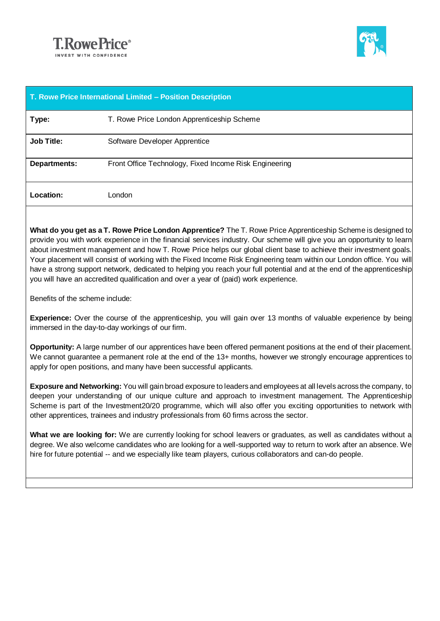



| T. Rowe Price International Limited - Position Description |                                                        |  |
|------------------------------------------------------------|--------------------------------------------------------|--|
| Type:                                                      | T. Rowe Price London Apprenticeship Scheme             |  |
| <b>Job Title:</b>                                          | Software Developer Apprentice                          |  |
| <b>Departments:</b>                                        | Front Office Technology, Fixed Income Risk Engineering |  |
| Location:                                                  | London                                                 |  |

**What do you get as a T. Rowe Price London Apprentice?** The T. Rowe Price Apprenticeship Scheme is designed to provide you with work experience in the financial services industry. Our scheme will give you an opportunity to learn about investment management and how T. Rowe Price helps our global client base to achieve their investment goals. Your placement will consist of working with the Fixed Income Risk Engineering team within our London office. You will have a strong support network, dedicated to helping you reach your full potential and at the end of the apprenticeship you will have an accredited qualification and over a year of (paid) work experience.

Benefits of the scheme include:

**Experience:** Over the course of the apprenticeship, you will gain over 13 months of valuable experience by being immersed in the day-to-day workings of our firm.

**Opportunity:** A large number of our apprentices have been offered permanent positions at the end of their placement. We cannot guarantee a permanent role at the end of the 13+ months, however we strongly encourage apprentices to apply for open positions, and many have been successful applicants.

**Exposure and Networking:** You will gain broad exposure to leaders and employees at all levels across the company, to deepen your understanding of our unique culture and approach to investment management. The Apprenticeship Scheme is part of the Investment20/20 programme, which will also offer you exciting opportunities to network with other apprentices, trainees and industry professionals from 60 firms across the sector.

**What we are looking for:** We are currently looking for school leavers or graduates, as well as candidates without a degree. We also welcome candidates who are looking for a well-supported way to return to work after an absence. We hire for future potential -- and we especially like team players, curious collaborators and can-do people.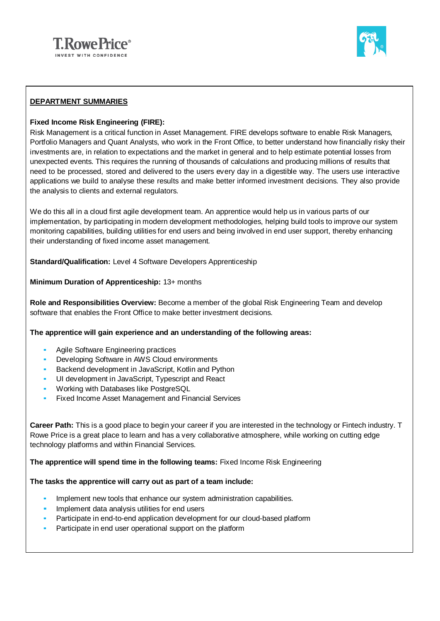



### **DEPARTMENT SUMMARIES**

### **Fixed Income Risk Engineering (FIRE):**

Risk Management is a critical function in Asset Management. FIRE develops software to enable Risk Managers, Portfolio Managers and Quant Analysts, who work in the Front Office, to better understand how financially risky their investments are, in relation to expectations and the market in general and to help estimate potential losses from unexpected events. This requires the running of thousands of calculations and producing millions of results that need to be processed, stored and delivered to the users every day in a digestible way. The users use interactive applications we build to analyse these results and make better informed investment decisions. They also provide the analysis to clients and external regulators.

We do this all in a cloud first agile development team. An apprentice would help us in various parts of our implementation, by participating in modern development methodologies, helping build tools to improve our system monitoring capabilities, building utilities for end users and being involved in end user support, thereby enhancing their understanding of fixed income asset management.

**Standard/Qualification:** Level 4 Software Developers Apprenticeship

### **Minimum Duration of Apprenticeship:** 13+ months

**Role and Responsibilities Overview:** Become a member of the global Risk Engineering Team and develop software that enables the Front Office to make better investment decisions.

#### **The apprentice will gain experience and an understanding of the following areas:**

- Agile Software Engineering practices
- Developing Software in AWS Cloud environments
- **Backend development in JavaScript, Kotlin and Python**
- UI development in JavaScript, Typescript and React
- Working with Databases like PostgreSQL
- **EXECU INCOME ASSET Management and Financial Services**

**Career Path:** This is a good place to begin your career if you are interested in the technology or Fintech industry. T Rowe Price is a great place to learn and has a very collaborative atmosphere, while working on cutting edge technology platforms and within Financial Services.

**The apprentice will spend time in the following teams:** Fixed Income Risk Engineering

#### **The tasks the apprentice will carry out as part of a team include:**

- Implement new tools that enhance our system administration capabilities.
- Implement data analysis utilities for end users
- Participate in end-to-end application development for our cloud-based platform
- Participate in end user operational support on the platform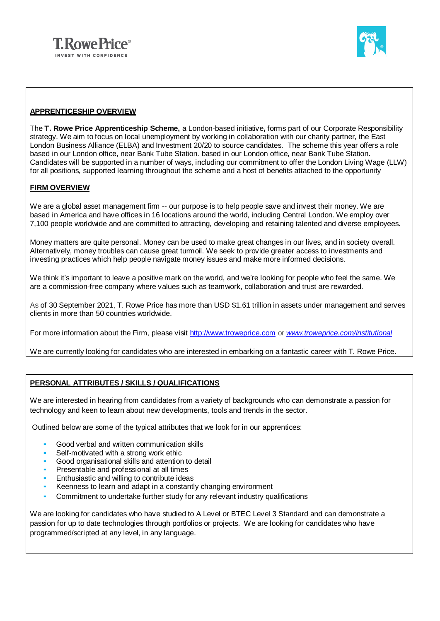



#### **APPRENTICESHIP OVERVIEW**

The **T. Rowe Price Apprenticeship Scheme,** a London-based initiative**,** forms part of our Corporate Responsibility strategy. We aim to focus on local unemployment by working in collaboration with our charity partner, the East London Business Alliance (ELBA) and Investment 20/20 to source candidates. The scheme this year offers a role based in our London office, near Bank Tube Station. based in our London office, near Bank Tube Station. Candidates will be supported in a number of ways, including our commitment to offer the London Living Wage (LLW) for all positions, supported learning throughout the scheme and a host of benefits attached to the opportunity

#### **FIRM OVERVIEW**

We are a global asset management firm -- our purpose is to help people save and invest their money. We are based in America and have offices in 16 locations around the world, including Central London. We employ over 7,100 people worldwide and are committed to attracting, developing and retaining talented and diverse employees.

Money matters are quite personal. Money can be used to make great changes in our lives, and in society overall. Alternatively, money troubles can cause great turmoil. We seek to provide greater access to investments and investing practices which help people navigate money issues and make more informed decisions.

We think it's important to leave a positive mark on the world, and we're looking for people who feel the same. We are a commission-free company where values such as teamwork, collaboration and trust are rewarded.

As of 30 September 2021, T. Rowe Price has more than USD \$1.61 trillion in assets under management and serves clients in more than 50 countries worldwide.

For more information about the Firm, please visit [http://www.troweprice.com](http://www.troweprice.com/) or *[www.troweprice.com/institutional](http://www.troweprice.com/institutional)*

We are currently looking for candidates who are interested in embarking on a fantastic career with T. Rowe Price.

## **PERSONAL ATTRIBUTES / SKILLS / QUALIFICATIONS**

We are interested in hearing from candidates from a variety of backgrounds who can demonstrate a passion for technology and keen to learn about new developments, tools and trends in the sector.

Outlined below are some of the typical attributes that we look for in our apprentices:

- Good verbal and written communication skills
- Self-motivated with a strong work ethic
- Good organisational skills and attention to detail
- Presentable and professional at all times
- Enthusiastic and willing to contribute ideas
- Keenness to learn and adapt in a constantly changing environment
- Commitment to undertake further study for any relevant industry qualifications

We are looking for candidates who have studied to A Level or BTEC Level 3 Standard and can demonstrate a passion for up to date technologies through portfolios or projects. We are looking for candidates who have programmed/scripted at any level, in any language.